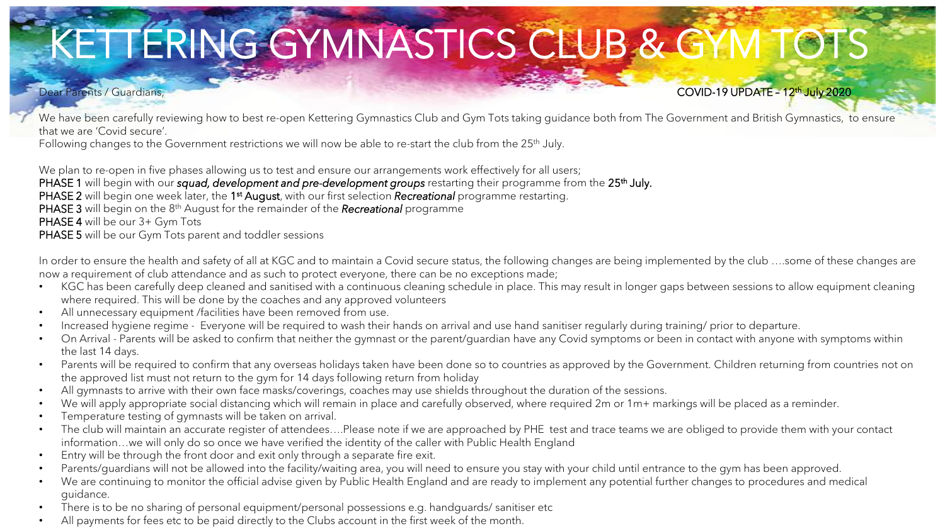# KETTERING GYMNASTICS CLUB & GYM TOTS

## Dear Parents / Guardians, **COVID-19 UPDATE – 12<sup>th</sup> July 2020**

We have been carefully reviewing how to best re-open Kettering Gymnastics Club and Gym Tots taking guidance both from The Government and British Gymnastics, to ensure that we are 'Covid secure'.

Following changes to the Government restrictions we will now be able to re-start the club from the 25<sup>th</sup> July.

We plan to re-open in five phases allowing us to test and ensure our arrangements work effectively for all users; PHASE 1 will begin with our *squad, development and pre-development groups* restarting their programme from the 25<sup>th</sup> July. PHASE 2 will begin one week later, the 1<sup>st</sup> August, with our first selection *Recreational* programme restarting. PHASE 3 will begin on the 8th August for the remainder of the *Recreational* programme PHASE 4 will be our 3+ Gym Tots PHASE 5 will be our Gym Tots parent and toddler sessions

In order to ensure the health and safety of all at KGC and to maintain a Covid secure status, the following changes are being implemented by the club ….some of these changes are now a requirement of club attendance and as such to protect everyone, there can be no exceptions made;

- KGC has been carefully deep cleaned and sanitised with a continuous cleaning schedule in place. This may result in longer gaps between sessions to allow equipment cleaning where required. This will be done by the coaches and any approved volunteers
- All unnecessary equipment /facilities have been removed from use.
- Increased hygiene regime Everyone will be required to wash their hands on arrival and use hand sanitiser regularly during training/ prior to departure.
- On Arrival Parents will be asked to confirm that neither the gymnast or the parent/quardian have any Covid symptoms or been in contact with anyone with symptoms within the last 14 days.
- Parents will be required to confirm that any overseas holidays taken have been done so to countries as approved by the Government. Children returning from countries not on the approved list must not return to the gym for 14 days following return from holiday
- All gymnasts to arrive with their own face masks/coverings, coaches may use shields throughout the duration of the sessions.
- We will apply appropriate social distancing which will remain in place and carefully observed, where required 2m or 1m+ markings will be placed as a reminder.
- Temperature testing of gymnasts will be taken on arrival.
- The club will maintain an accurate register of attendees….Please note if we are approached by PHE test and trace teams we are obliged to provide them with your contact information…we will only do so once we have verified the identity of the caller with Public Health England
- Entry will be through the front door and exit only through a separate fire exit.
- Parents/guardians will not be allowed into the facility/waiting area, you will need to ensure you stay with your child until entrance to the gym has been approved.
- We are continuing to monitor the official advise given by Public Health England and are ready to implement any potential further changes to procedures and medical guidance.
- There is to be no sharing of personal equipment/personal possessions e.g. handguards/ sanitiser etc
- All payments for fees etc to be paid directly to the Clubs account in the first week of the month.